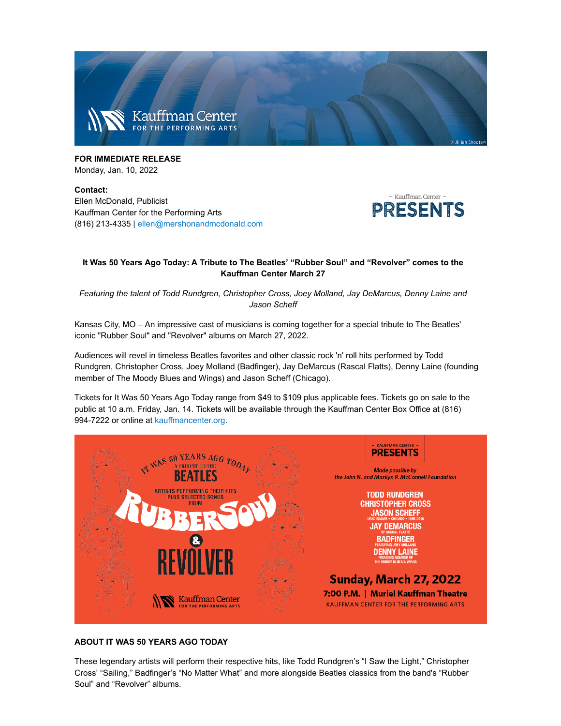

FOR IMMEDIATE REI FASE Monday, Jan. 10, 2022

Contact: Ellen McDonald, Publicist Kauffman Center for the Performing Arts (816) 213-4335 | ellen@mershonandmcdonald.com



# It Was 50 Years Ago Today: A Tribute to The Beatles' "Rubber Soul" and "Revolver" comes to the Kauffman Center March 27

Featuring the talent of Todd Rundgren, Christopher Cross, Joey Molland, Jay DeMarcus, Denny Laine and Jason Scheff

Kansas City, MO - An impressive cast of musicians is coming together for a special tribute to The Beatles' iconic "Rubber Soul" and "Revolver" albums on March 27, 2022.

Audiences will revel in timeless Beatles favorites and other classic rock 'n' roll hits performed by Todd Rundgren, Christopher Cross, Joey Molland (Badfinger), Jay DeMarcus (Rascal Flatts), Denny Laine (founding member of The Moody Blues and Wings) and Jason Scheff (Chicago).

Tickets for It Was 50 Years Ago Today range from \$49 to \$109 plus applicable fees. Tickets go on sale to the public at 10 a.m. Friday, Jan. 14. Tickets will be available through the Kauffman Center Box Office at (816) 994-7222 or online at kauffmancenter.org.



## **ABOUT IT WAS 50 YEARS AGO TODAY**

These legendary artists will perform their respective hits, like Todd Rundgren's "I Saw the Light," Christopher Cross' "Sailing," Badfinger's "No Matter What" and more alongside Beatles classics from the band's "Rubber Soul" and "Revolver" albums.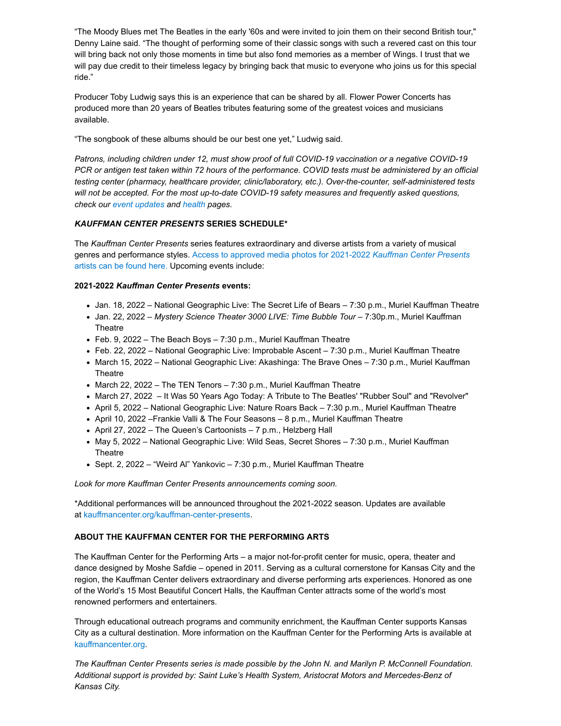"The Moody Blues met The Beatles in the early '60s and were invited to join them on their second British tour," Denny Laine said. "The thought of performing some of their classic songs with such a revered cast on this tour will bring back not only those moments in time but also fond memories as a member of Wings. I trust that we will pay due credit to their timeless legacy by bringing back that music to everyone who joins us for this special ride."

Producer Toby Ludwig says this is an experience that can be shared by all. Flower Power Concerts has produced more than 20 years of Beatles tributes featuring some of the greatest voices and musicians available.

"The songbook of these albums should be our best one yet," Ludwig said.

Patrons, including children under 12, must show proof of full COVID-19 vaccination or a negative COVID-19 PCR or antigen test taken within 72 hours of the performance. COVID tests must be administered by an official testing center (pharmacy, healthcare provider, clinic/laboratory, etc.). Over-the-counter, self-administered tests will not be accepted. For the most up-to-date COVID-19 safety measures and frequently asked questions, check our event updates and health pages.

## **KAUFFMAN CENTER PRESENTS SERIES SCHEDULE\***

The Kauffman Center Presents series features extraordinary and diverse artists from a variety of musical genres and performance styles. Access to approved media photos for 2021-2022 Kauffman Center Presents artists can be found here. Upcoming events include:

### 2021-2022 Kauffman Center Presents events:

- Jan. 18, 2022 National Geographic Live: The Secret Life of Bears 7:30 p.m., Muriel Kauffman Theatre
- Jan. 22, 2022 Mystery Science Theater 3000 LIVE: Time Bubble Tour 7:30p.m., Muriel Kauffman Theatre
- Feb. 9, 2022 The Beach Boys 7:30 p.m., Muriel Kauffman Theatre
- Feb. 22, 2022 National Geographic Live: Improbable Ascent 7:30 p.m., Muriel Kauffman Theatre
- March 15, 2022 National Geographic Live: Akashinga: The Brave Ones 7:30 p.m., Muriel Kauffman Theatre
- March 22, 2022 The TEN Tenors 7:30 p.m., Muriel Kauffman Theatre
- March 27, 2022 It Was 50 Years Ago Today: A Tribute to The Beatles' "Rubber Soul" and "Revolver"
- April 5, 2022 National Geographic Live: Nature Roars Back 7:30 p.m., Muriel Kauffman Theatre
- April 10, 2022 Frankie Valli & The Four Seasons 8 p.m., Muriel Kauffman Theatre
- April 27, 2022 The Queen's Cartoonists 7 p.m., Helzberg Hall
- May 5, 2022 National Geographic Live: Wild Seas, Secret Shores 7:30 p.m., Muriel Kauffman Theatre
- Sept. 2, 2022 "Weird Al" Yankovic 7:30 p.m., Muriel Kauffman Theatre

Look for more Kauffman Center Presents announcements coming soon.

\*Additional performances will be announced throughout the 2021-2022 season. Updates are available at kauffmancenter.org/kauffman-center-presents.

## ABOUT THE KAUFFMAN CENTER FOR THE PERFORMING ARTS

The Kauffman Center for the Performing Arts - a major not-for-profit center for music, opera, theater and dance designed by Moshe Safdie – opened in 2011. Serving as a cultural cornerstone for Kansas City and the region, the Kauffman Center delivers extraordinary and diverse performing arts experiences. Honored as one of the World's 15 Most Beautiful Concert Halls, the Kauffman Center attracts some of the world's most renowned performers and entertainers.

Through educational outreach programs and community enrichment, the Kauffman Center supports Kansas City as a cultural destination. More information on the Kauffman Center for the Performing Arts is available at kauffmancenter.org.

The Kauffman Center Presents series is made possible by the John N. and Marilyn P. McConnell Foundation. Additional support is provided by: Saint Luke's Health System, Aristocrat Motors and Mercedes-Benz of Kansas City.